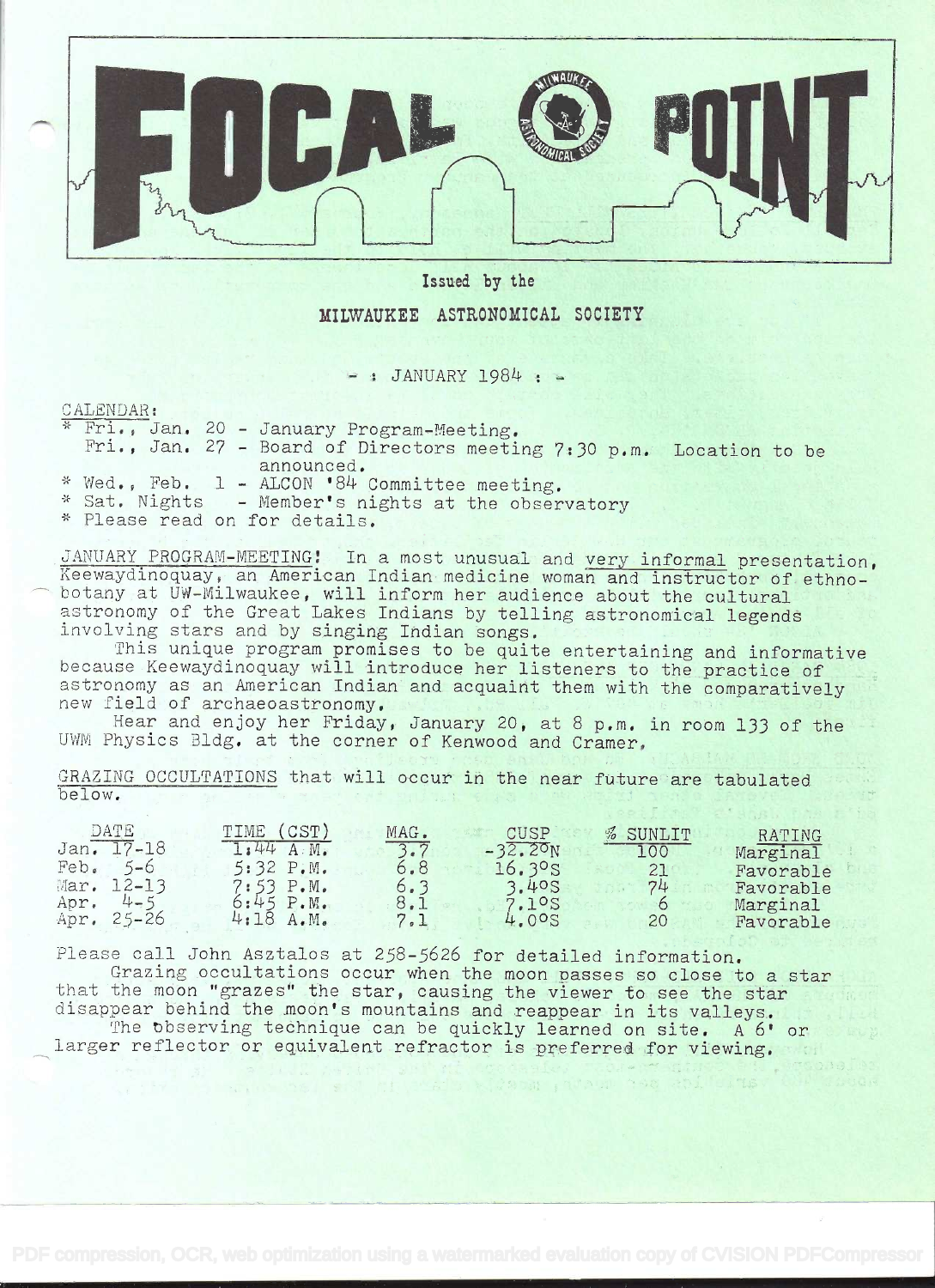

## Issued by the

# MILWAUKEE ASTRONOMICAL SOCIETY

 $-$ : JANUARY 1984 : -

#### CALENDAR:

|  |  | * Fri., Jan. 20 - January Program-Meeting.<br>Fri., Jan. 27 - Board of Directors meeting 7:30 p.m. Location to be |  |
|--|--|-------------------------------------------------------------------------------------------------------------------|--|
|  |  | announced.                                                                                                        |  |
|  |  | * Wed., Feb. 1 - ALCON '84 Committee meeting.                                                                     |  |
|  |  | * Sat. Nights - Member's nights at the observatory                                                                |  |
|  |  |                                                                                                                   |  |

\* Please read on for details.

JANUARY PROGRAM-MEETING! In a most unusual and very informal presentation, Reewayuinoquay, an American indian medicine woman and instructor of ethno-<br>
botany at UW-Milwaukee, will inform her audience about the cultural Keewaydinoquay, an American Indian medicine woman and instructor of ethnoastronomy of the Great Lakes Indians by telling astronomical legends involving stars and by singing Indian songs.

This unique program promises to be quite entertaining and informative because Keewaydinoquay will introduce her listeners to the practice of astronomy as an American Indian and acquaint them with the comparatively new field of archaeoastronomy.

Hear and enjoy her Friday, January 20, at 8 p.m. in room 133 of the UWM Physics Bldg. at the corner of Kenwood and Cramer,

GRAZING OCCULTATIONS that will occur in the near future are tabulated h e 1 ow.

| DATE              | (CST)<br>TIME             | MAG.<br>CUSP<br>% SUNLIT<br>RATING           |  |
|-------------------|---------------------------|----------------------------------------------|--|
| Jan. 17-18        | $A: M_{\bullet}$<br>1:44  | $-32.20N$<br>3.7<br>100<br>Marginal          |  |
| Feb.<br>$5 - 6$   | 5:32 P.M.                 | 6.8<br>16.3°s<br>21<br>Favorable             |  |
| Mar.<br>$12 - 13$ | $7:53$ $P.M.$             | 3.40S<br>6.3<br>74<br>Favorable              |  |
| Apr.<br>$4 - 5$   | $6:45$ $P.W.$             | 8.1<br>7.1ºS<br>Marginal                     |  |
| $25 - 26$<br>Apr. | 4:18<br>$A \cdot M \cdot$ | 7.1<br>4.005<br>20 <sup>2</sup><br>Favorable |  |

Please call John Asztalos at 258-5626 for detailed information. Grazing occultations occur when the moon passes so close to a star

that the moon "grazes" the star, causing the viewer to see the star disappear behind the moon's mountains and reappear in its valleys.

The observing technique can be quickly learned on site. A 6' or larger reflector or equivalent refractor is preferred for viewing.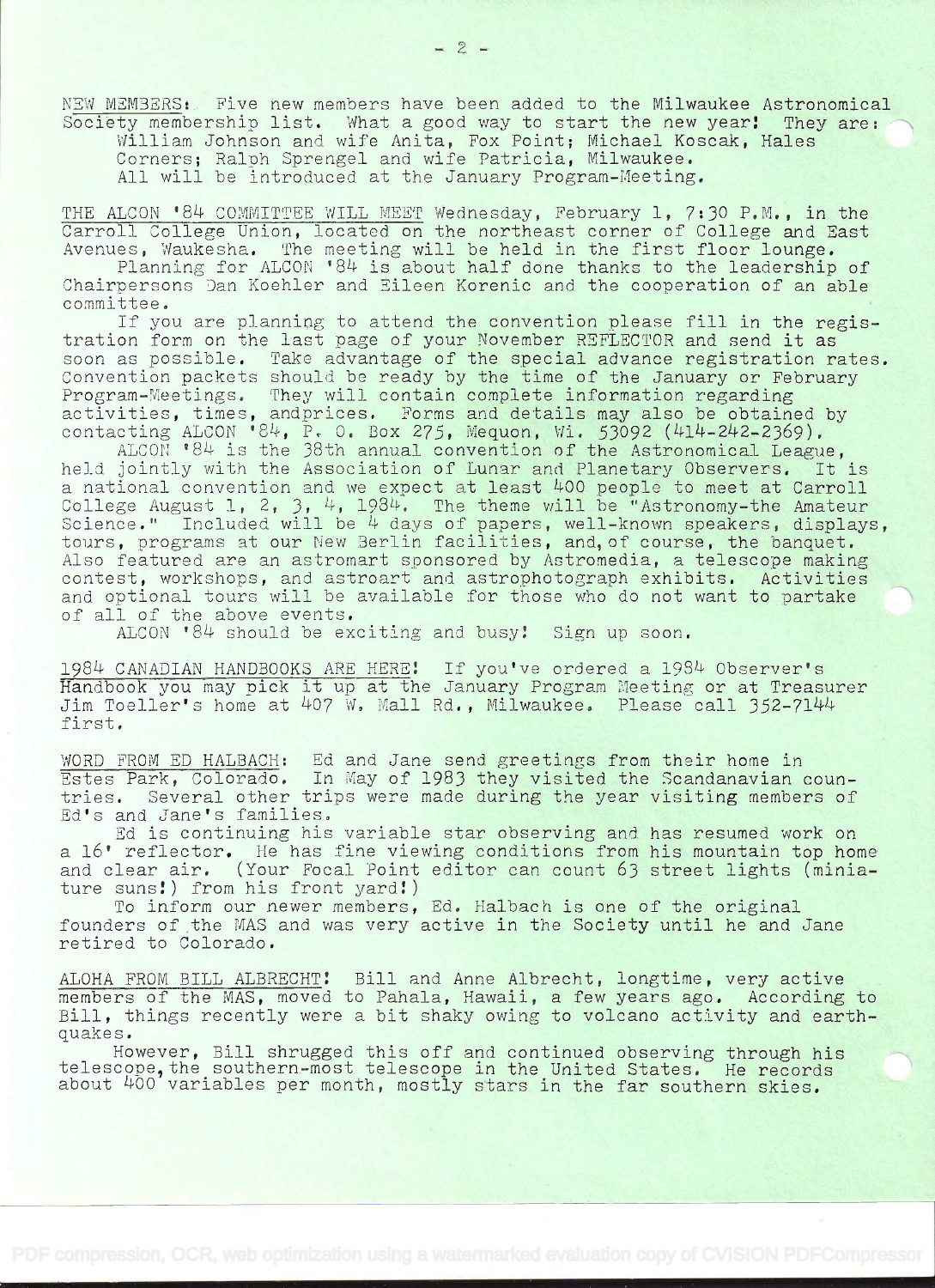NEW MEMBERS: Five new members have been added to the Milwaukee Astronomical Society membership list. What a good way to start the new year! They are: William Johnson and wife Anita, Fox Point; Michael Koscak, Hales

Corners; Ralph Sprengel and wife Patricia, Milwaukee.

All will be introduced at the January Program-Meeting.

THE ALCON '84 COMMITTEE WILL MEET Wednesday, February 1, 7:30 P.M., in the<br>Carroll College Union, located on the northeast corner of College and East<br>Avenues, Waukesha. The meeting will be held in the first floor lounge.

Planning for ALCON '84 is about half done thanks to the leadership of Chairpersons Dan Koehler and Eileen Korenic and the cooperation of an able committee.

If you are planning to attend the convention please fill in the regis-<br>tration form on the last page of your November REFLECTOR and send it as soon as possible. Take advantage of the special advance registration rates.<br>Convention packets should be ready by the time of the January or February Program-Meetings. They will contain complete information regarding<br>activities, times, and prices. Forms and details may also be obtained by<br>contacting ALCON '84, P. O. Box 275, Mequon, Wi. 53092 (414-242-2369).

ALCON '84 is the 38th annual convention of the Astronomical League, held jointly with the Association of Lunar and Planetary Observers. It is a national convention and we expect at least 400 people to meet at Carroll College August 1, 2, 3, 4, 1984. The theme will be "Astronomy-the Amateur Science." Included will be 4 days of papers, well-known speakers, displays, tours, programs at our New Berlin facilities, and, of course, the banquet.<br>Also featured are an astromart sponsored by Astromedia, a telescope mak and optional tours will be available for those who do not want to partake of all of the above events.

ALCON  $84$  should be exciting and busy! Sign up soon.

1984 CANADIAN HANDBOOKS ARE HERE! If you've ordered a 1984 Observer's Handbook you may pick it up at the January Program Meeting or at Treasurer Jim Toeller's home at 407 W. Mall Rd., Milwaukee. Please call 352-7144<br>first.

WORD FROM ED HALBACH: Ed and Jane send greetings from their home in<br>Estes Park, Colorado. In May of 1983 they visited the Scandanavian countries. Several other trips were made during the year visiting members of Ed's and Jane's families.

Ed is continuing his variable star observing and has resumed work on <sup>a</sup>16' reflector. He has fine viewing conditions from his mountain top home and clear air. (Your Focal Point editor can count 63 street lights (minia-<br>ture suns!) from his front yard!)<br>To inform our newer members, Ed. Halbach is one of the original

founders of the MAS and was very active in the Society until he and Jane retired to Colorado.

ALOHA FROM BILL ALBRECHT: Bill and Anne Albrecht, longtime, very active<br>members of the MAS, moved to Pahala, Hawaii, a few years ago. According to Bill, things recently were a bit shaky owing to volcano activity and earth-quakes.

However, Bill shrugged this off and continued observing through his telescope, the southern-most telescope in the United States. He records about 400 variables per month, mostly stars in the far southern skies.